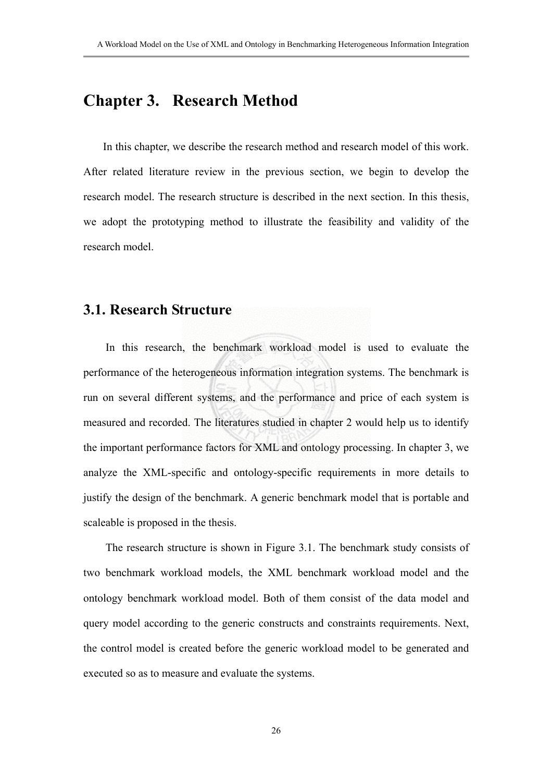# **Chapter 3. Research Method**

In this chapter, we describe the research method and research model of this work. After related literature review in the previous section, we begin to develop the research model. The research structure is described in the next section. In this thesis, we adopt the prototyping method to illustrate the feasibility and validity of the research model.

# **3.1. Research Structure**

In this research, the benchmark workload model is used to evaluate the performance of the heterogeneous information integration systems. The benchmark is run on several different systems, and the performance and price of each system is measured and recorded. The literatures studied in chapter 2 would help us to identify the important performance factors for XML and ontology processing. In chapter 3, we analyze the XML-specific and ontology-specific requirements in more details to justify the design of the benchmark. A generic benchmark model that is portable and scaleable is proposed in the thesis.

The research structure is shown in Figure 3.1. The benchmark study consists of two benchmark workload models, the XML benchmark workload model and the ontology benchmark workload model. Both of them consist of the data model and query model according to the generic constructs and constraints requirements. Next, the control model is created before the generic workload model to be generated and executed so as to measure and evaluate the systems.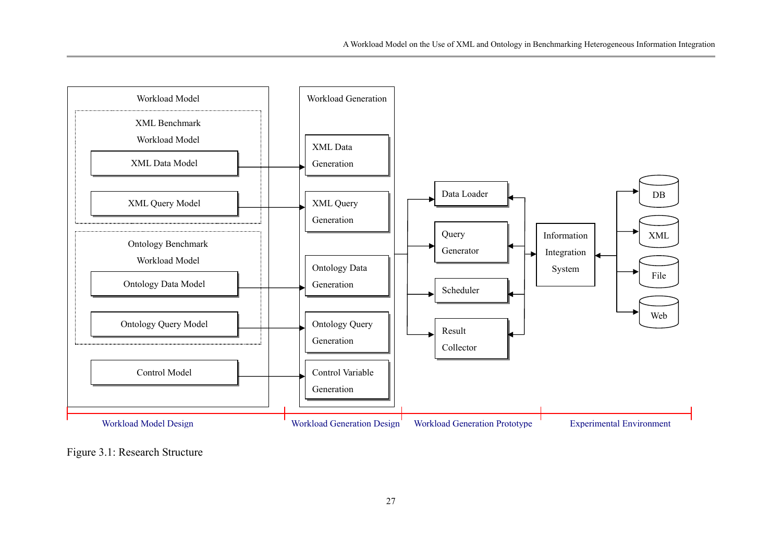

Figure 3.1: Research Structure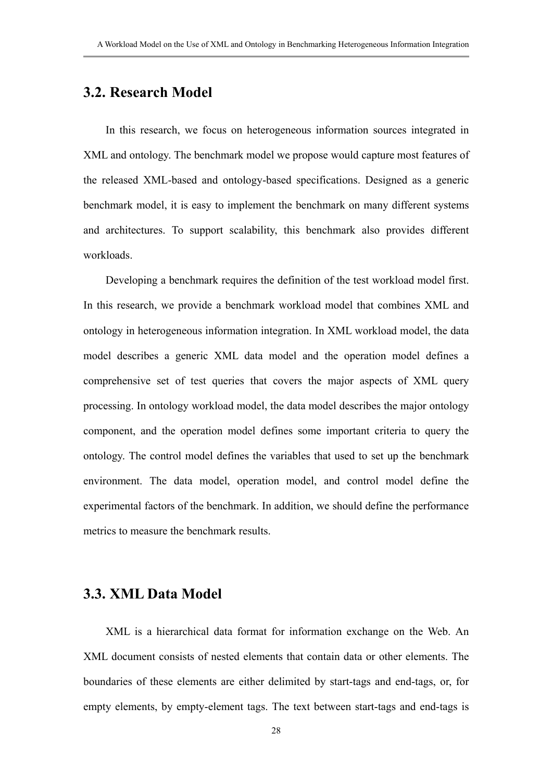# **3.2. Research Model**

In this research, we focus on heterogeneous information sources integrated in XML and ontology. The benchmark model we propose would capture most features of the released XML-based and ontology-based specifications. Designed as a generic benchmark model, it is easy to implement the benchmark on many different systems and architectures. To support scalability, this benchmark also provides different workloads.

Developing a benchmark requires the definition of the test workload model first. In this research, we provide a benchmark workload model that combines XML and ontology in heterogeneous information integration. In XML workload model, the data model describes a generic XML data model and the operation model defines a comprehensive set of test queries that covers the major aspects of XML query processing. In ontology workload model, the data model describes the major ontology component, and the operation model defines some important criteria to query the ontology. The control model defines the variables that used to set up the benchmark environment. The data model, operation model, and control model define the experimental factors of the benchmark. In addition, we should define the performance metrics to measure the benchmark results.

# **3.3. XML Data Model**

XML is a hierarchical data format for information exchange on the Web. An XML document consists of nested elements that contain data or other elements. The boundaries of these elements are either delimited by start-tags and end-tags, or, for empty elements, by empty-element tags. The text between start-tags and end-tags is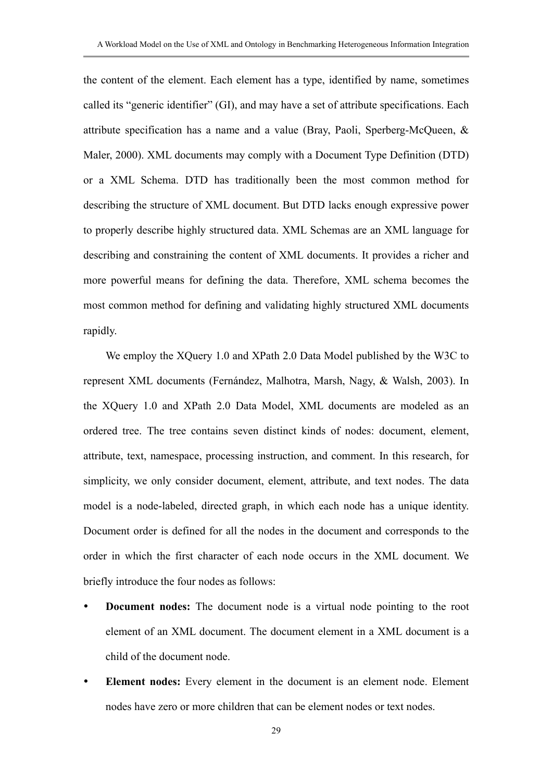the content of the element. Each element has a type, identified by name, sometimes called its "generic identifier" (GI), and may have a set of attribute specifications. Each attribute specification has a name and a value (Bray, Paoli, Sperberg-McQueen, & Maler, 2000). XML documents may comply with a Document Type Definition (DTD) or a XML Schema. DTD has traditionally been the most common method for describing the structure of XML document. But DTD lacks enough expressive power to properly describe highly structured data. XML Schemas are an XML language for describing and constraining the content of XML documents. It provides a richer and more powerful means for defining the data. Therefore, XML schema becomes the most common method for defining and validating highly structured XML documents rapidly.

We employ the XQuery 1.0 and XPath 2.0 Data Model published by the W3C to represent XML documents (Fernández, Malhotra, Marsh, Nagy, & Walsh, 2003). In the XQuery 1.0 and XPath 2.0 Data Model, XML documents are modeled as an ordered tree. The tree contains seven distinct kinds of nodes: document, element, attribute, text, namespace, processing instruction, and comment. In this research, for simplicity, we only consider document, element, attribute, and text nodes. The data model is a node-labeled, directed graph, in which each node has a unique identity. Document order is defined for all the nodes in the document and corresponds to the order in which the first character of each node occurs in the XML document. We briefly introduce the four nodes as follows:

- **Document nodes:** The document node is a virtual node pointing to the root element of an XML document. The document element in a XML document is a child of the document node.
- **Element nodes:** Every element in the document is an element node. Element nodes have zero or more children that can be element nodes or text nodes.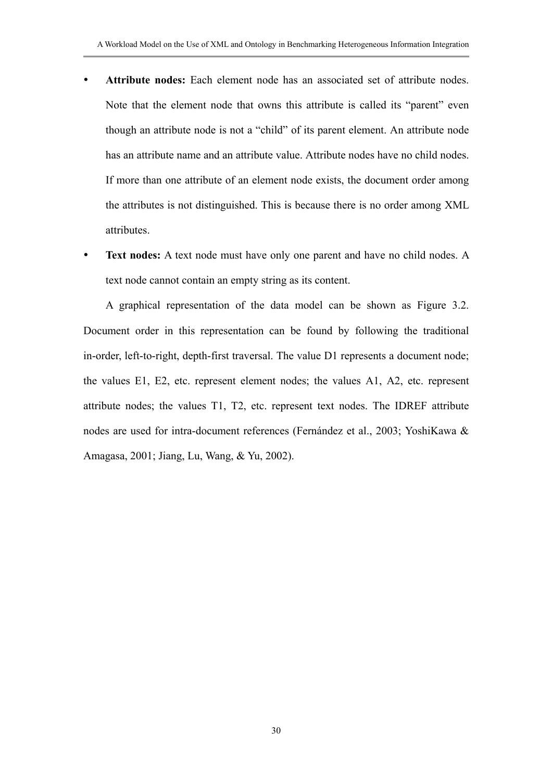- Attribute nodes: Each element node has an associated set of attribute nodes. Note that the element node that owns this attribute is called its "parent" even though an attribute node is not a "child" of its parent element. An attribute node has an attribute name and an attribute value. Attribute nodes have no child nodes. If more than one attribute of an element node exists, the document order among the attributes is not distinguished. This is because there is no order among XML attributes.
- Text nodes: A text node must have only one parent and have no child nodes. A text node cannot contain an empty string as its content.

A graphical representation of the data model can be shown as Figure 3.2. Document order in this representation can be found by following the traditional in-order, left-to-right, depth-first traversal. The value D1 represents a document node; the values E1, E2, etc. represent element nodes; the values A1, A2, etc. represent attribute nodes; the values T1, T2, etc. represent text nodes. The IDREF attribute nodes are used for intra-document references (Fernández et al., 2003; YoshiKawa & Amagasa, 2001; Jiang, Lu, Wang, & Yu, 2002).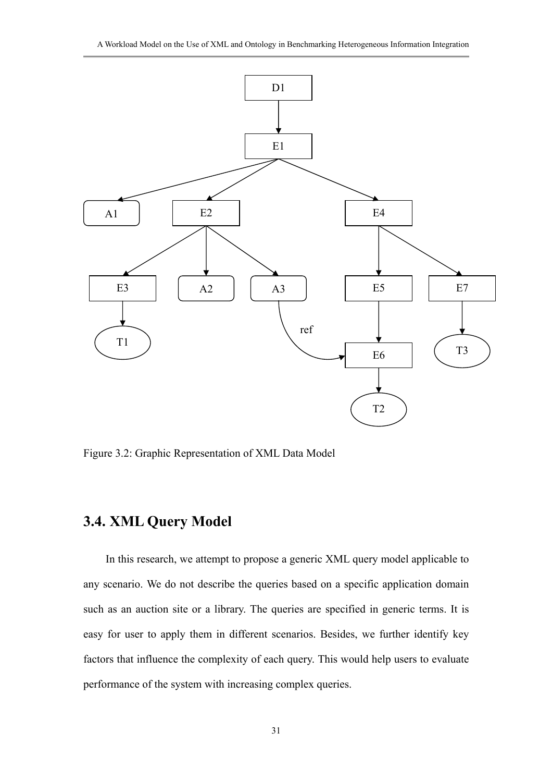A Workload Model on the Use of XML and Ontology in Benchmarking Heterogeneous Information Integration



Figure 3.2: Graphic Representation of XML Data Model

# **3.4. XML Query Model**

In this research, we attempt to propose a generic XML query model applicable to any scenario. We do not describe the queries based on a specific application domain such as an auction site or a library. The queries are specified in generic terms. It is easy for user to apply them in different scenarios. Besides, we further identify key factors that influence the complexity of each query. This would help users to evaluate performance of the system with increasing complex queries.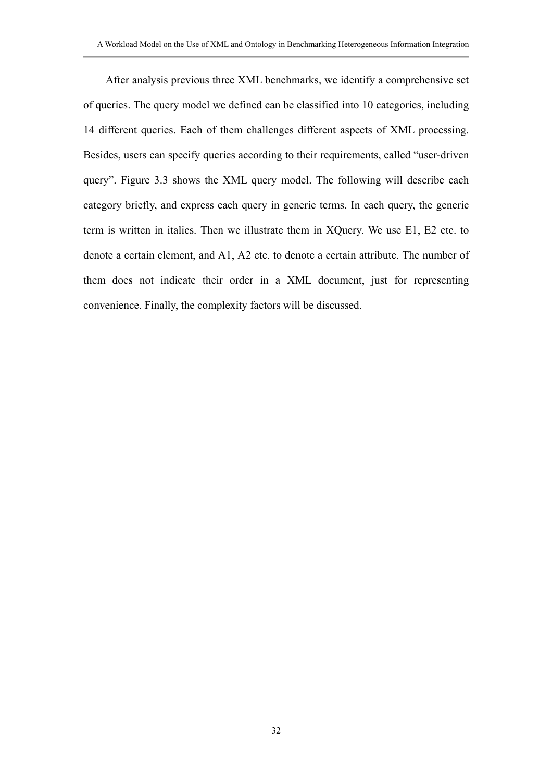After analysis previous three XML benchmarks, we identify a comprehensive set of queries. The query model we defined can be classified into 10 categories, including 14 different queries. Each of them challenges different aspects of XML processing. Besides, users can specify queries according to their requirements, called "user-driven query". Figure 3.3 shows the XML query model. The following will describe each category briefly, and express each query in generic terms. In each query, the generic term is written in italics. Then we illustrate them in XQuery. We use E1, E2 etc. to denote a certain element, and A1, A2 etc. to denote a certain attribute. The number of them does not indicate their order in a XML document, just for representing convenience. Finally, the complexity factors will be discussed.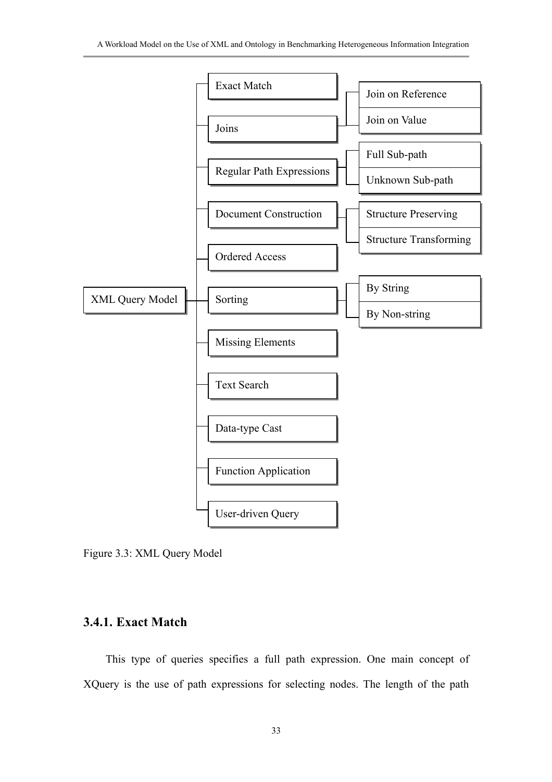

Figure 3.3: XML Query Model

# **3.4.1. Exact Match**

This type of queries specifies a full path expression. One main concept of XQuery is the use of path expressions for selecting nodes. The length of the path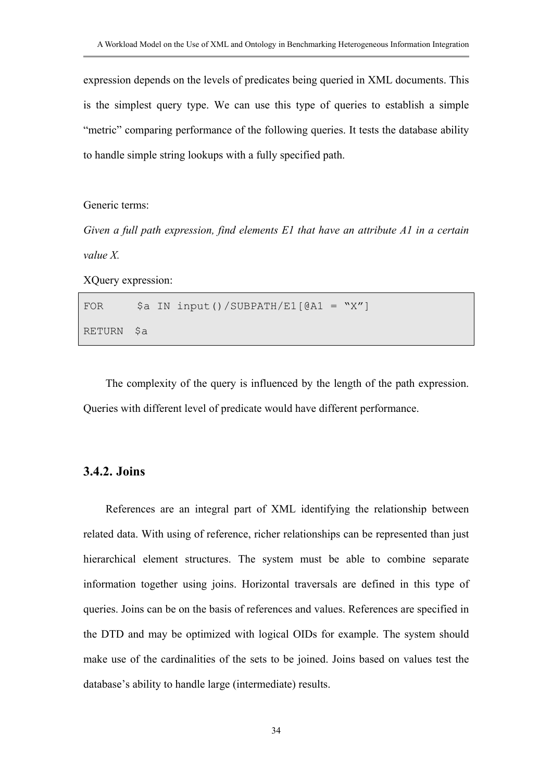expression depends on the levels of predicates being queried in XML documents. This is the simplest query type. We can use this type of queries to establish a simple "metric" comparing performance of the following queries. It tests the database ability to handle simple string lookups with a fully specified path.

Generic terms:

*Given a full path expression, find elements E1 that have an attribute A1 in a certain value X.* 

XQuery expression:

FOR  $\$a$  IN input()/SUBPATH/E1[@A1 = "X"] RETURN \$a

The complexity of the query is influenced by the length of the path expression. Queries with different level of predicate would have different performance.

### **3.4.2. Joins**

References are an integral part of XML identifying the relationship between related data. With using of reference, richer relationships can be represented than just hierarchical element structures. The system must be able to combine separate information together using joins. Horizontal traversals are defined in this type of queries. Joins can be on the basis of references and values. References are specified in the DTD and may be optimized with logical OIDs for example. The system should make use of the cardinalities of the sets to be joined. Joins based on values test the database's ability to handle large (intermediate) results.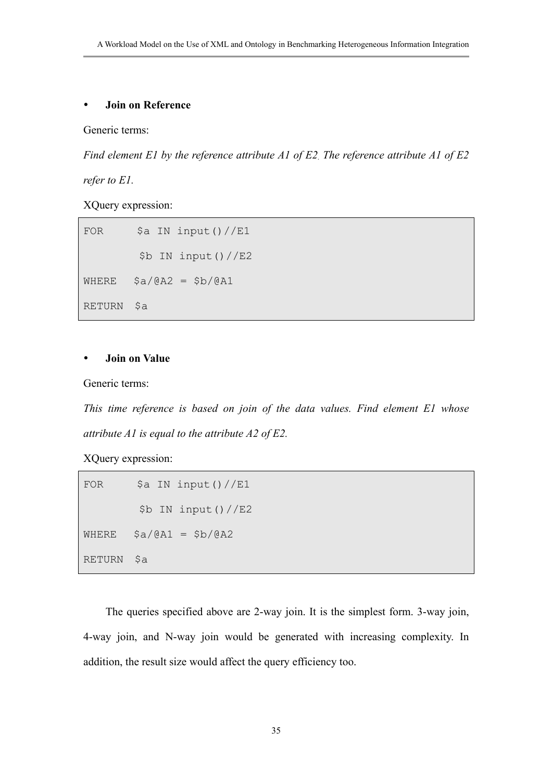#### y **Join on Reference**

Generic terms:

*Find element E1 by the reference attribute A1 of E2. The reference attribute A1 of E2* 

*refer to E1.*

XQuery expression:

FOR  $\$a$  IN input()//E1 \$b IN input()//E2 WHERE  $$a/@A2 = $b/@A1$ RETURN \$a

### **Join on Value**

Generic terms:

*This time reference is based on join of the data values. Find element E1 whose attribute A1 is equal to the attribute A2 of E2.* 

XQuery expression:

```
FOR \$a IN input()//E1
         $b IN input()//E2 
WHERE $a/@A1 = $b/@A2RETURN $a
```
The queries specified above are 2-way join. It is the simplest form. 3-way join, 4-way join, and N-way join would be generated with increasing complexity. In addition, the result size would affect the query efficiency too.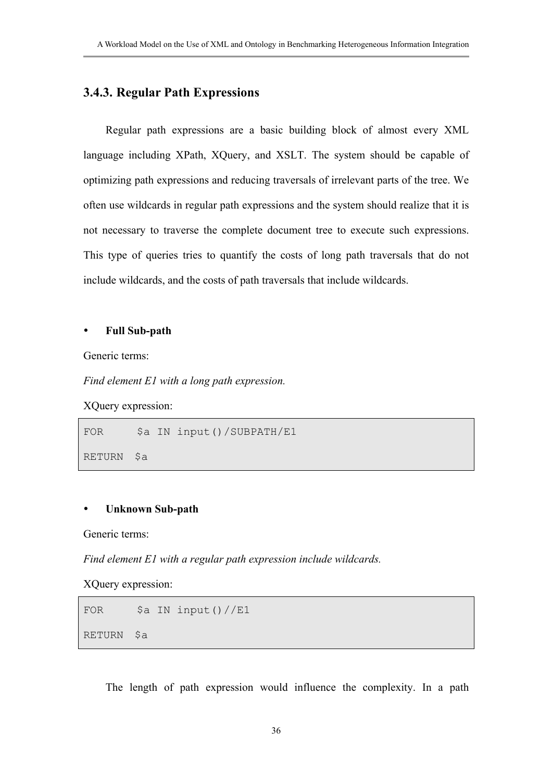## **3.4.3. Regular Path Expressions**

Regular path expressions are a basic building block of almost every XML language including XPath, XQuery, and XSLT. The system should be capable of optimizing path expressions and reducing traversals of irrelevant parts of the tree. We often use wildcards in regular path expressions and the system should realize that it is not necessary to traverse the complete document tree to execute such expressions. This type of queries tries to quantify the costs of long path traversals that do not include wildcards, and the costs of path traversals that include wildcards.

## y **Full Sub-path**

Generic terms:

*Find element E1 with a long path expression.* 

XQuery expression:

FOR \$a IN input()/SUBPATH/E1

RETURN \$a

## **Unknown Sub-path**

Generic terms:

*Find element E1 with a regular path expression include wildcards.* 

XQuery expression:

```
FOR $a IN input()//E1
RETURN $a
```
The length of path expression would influence the complexity. In a path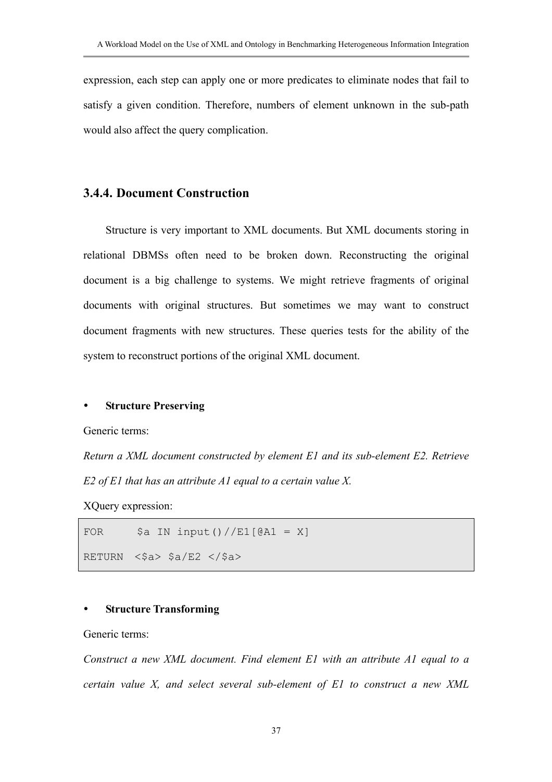expression, each step can apply one or more predicates to eliminate nodes that fail to satisfy a given condition. Therefore, numbers of element unknown in the sub-path would also affect the query complication.

## **3.4.4. Document Construction**

Structure is very important to XML documents. But XML documents storing in relational DBMSs often need to be broken down. Reconstructing the original document is a big challenge to systems. We might retrieve fragments of original documents with original structures. But sometimes we may want to construct document fragments with new structures. These queries tests for the ability of the system to reconstruct portions of the original XML document.

#### **Structure Preserving**

Generic terms:

*Return a XML document constructed by element E1 and its sub-element E2. Retrieve E2 of E1 that has an attribute A1 equal to a certain value X.* 

XQuery expression:

FOR  $\begin{bmatrix} \$ & \text{S} \\ \text{S} & \text{S} \end{bmatrix}$   $\begin{bmatrix} \text{S} \\ \text{S} \end{bmatrix}$   $\begin{bmatrix} \text{S} \\ \text{S} \end{bmatrix}$   $\begin{bmatrix} \text{S} \\ \text{S} \end{bmatrix}$   $\begin{bmatrix} \text{S} \\ \text{S} \end{bmatrix}$   $\begin{bmatrix} \text{S} \\ \text{S} \end{bmatrix}$   $\begin{bmatrix} \text{S} \\ \text{S} \end{bmatrix}$   $\begin{bmatrix} \text{S} \\ \text{S} \end{bmatrix}$ 

RETURN  $\langle \$a \rangle$   $\$a/E2$   $\langle$ / $\$a \rangle$ 

#### **Structure Transforming**

Generic terms:

*Construct a new XML document. Find element E1 with an attribute A1 equal to a certain value X, and select several sub-element of E1 to construct a new XML*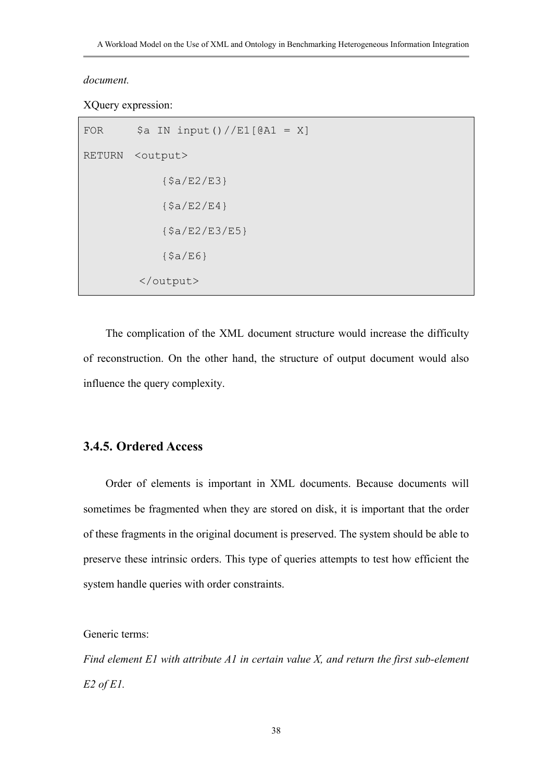#### *document.*

XQuery expression:

```
FOR \begin{bmatrix} \$\text{a} & \text{IN input} \end{bmatrix} / \text{Ell}[\text{QA1} = X]RETURN <output> 
                    {$a/E2/E3} 
                   {Sa/E2/E4} {$a/E2/E3/E5} 
                   {5a/EG}</output>
```
The complication of the XML document structure would increase the difficulty of reconstruction. On the other hand, the structure of output document would also influence the query complexity.

## **3.4.5. Ordered Access**

Order of elements is important in XML documents. Because documents will sometimes be fragmented when they are stored on disk, it is important that the order of these fragments in the original document is preserved. The system should be able to preserve these intrinsic orders. This type of queries attempts to test how efficient the system handle queries with order constraints.

Generic terms:

*Find element E1 with attribute A1 in certain value X, and return the first sub-element E2 of E1.*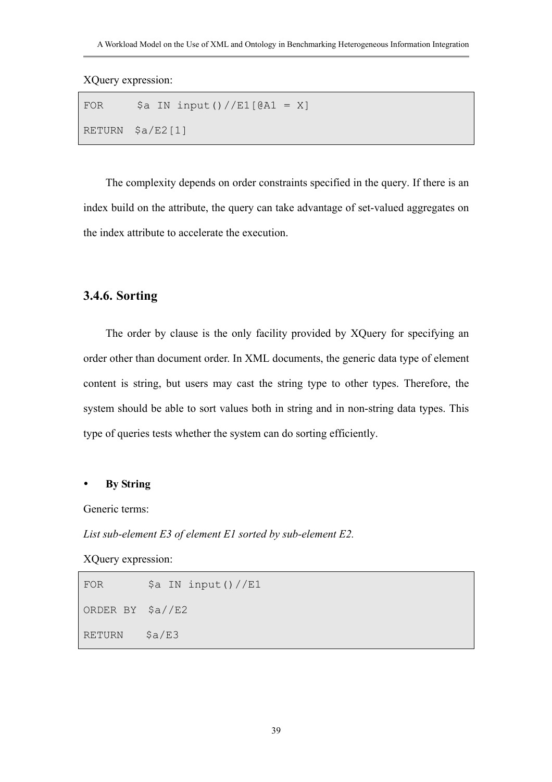XQuery expression:

```
FOR \begin{bmatrix} \$ & \text{S} \\ \text{S} & \text{S} \end{bmatrix} \begin{bmatrix} \text{S} \\ \text{S} \end{bmatrix} \begin{bmatrix} \text{S} \\ \text{S} \end{bmatrix} \begin{bmatrix} \text{S} \\ \text{S} \end{bmatrix} \begin{bmatrix} \text{S} \\ \text{S} \end{bmatrix} \begin{bmatrix} \text{S} \\ \text{S} \end{bmatrix} \begin{bmatrix} \text{S} \\ \text{S} \end{bmatrix} \begin{bmatrix} \text{S} \\ \text{S} \end{bmatrix} RETURN $a/E2[1]
```
The complexity depends on order constraints specified in the query. If there is an index build on the attribute, the query can take advantage of set-valued aggregates on the index attribute to accelerate the execution.

## **3.4.6. Sorting**

The order by clause is the only facility provided by XQuery for specifying an order other than document order. In XML documents, the generic data type of element content is string, but users may cast the string type to other types. Therefore, the system should be able to sort values both in string and in non-string data types. This type of queries tests whether the system can do sorting efficiently.

#### y **By String**

Generic terms:

*List sub-element E3 of element E1 sorted by sub-element E2.* 

XQuery expression:

```
FOR \frac{1}{2} \frac{1}{2} \frac{1}{2} \frac{1}{2} \frac{1}{2} \frac{1}{2} \frac{1}{2} \frac{1}{2} \frac{1}{2} \frac{1}{2} \frac{1}{2} \frac{1}{2} \frac{1}{2} \frac{1}{2} \frac{1}{2} \frac{1}{2} \frac{1}{2} \frac{1}{2} \frac{1}{2} \frac{1}{2} \frac{1}{2} \frac{1}{2ORDER BY $a//E2 
RETURN $a/E3
```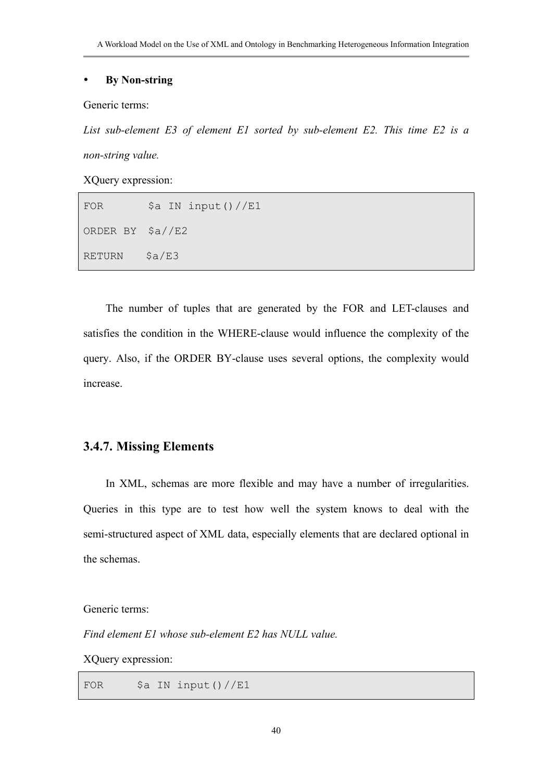## y **By Non-string**

Generic terms:

*List sub-element E3 of element E1 sorted by sub-element E2. This time E2 is a non-string value.* 

XQuery expression:

| FOR                        | \$a IN input()//E1 |
|----------------------------|--------------------|
| ORDER BY $\frac{2}{3a}/E2$ |                    |
| <b>RETURN</b>              | $\text{Sa/E3}$     |

The number of tuples that are generated by the FOR and LET-clauses and satisfies the condition in the WHERE-clause would influence the complexity of the query. Also, if the ORDER BY-clause uses several options, the complexity would increase.

## **3.4.7. Missing Elements**

In XML, schemas are more flexible and may have a number of irregularities. Queries in this type are to test how well the system knows to deal with the semi-structured aspect of XML data, especially elements that are declared optional in the schemas.

Generic terms:

*Find element E1 whose sub-element E2 has NULL value.* 

XQuery expression:

FOR  $\$a$  IN input()//E1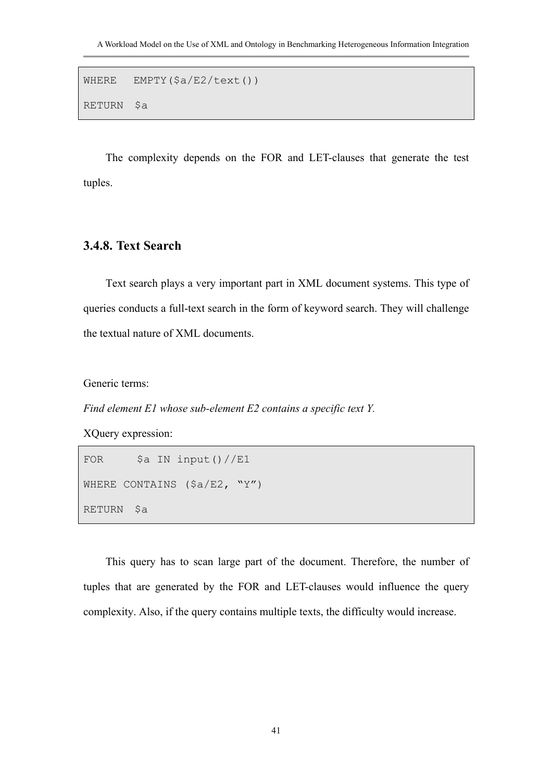```
WHERE EMPTY($a/E2/text()) 
RETURN $a
```
The complexity depends on the FOR and LET-clauses that generate the test tuples.

## **3.4.8. Text Search**

Text search plays a very important part in XML document systems. This type of queries conducts a full-text search in the form of keyword search. They will challenge the textual nature of XML documents.

Generic terms:

*Find element E1 whose sub-element E2 contains a specific text Y.* 

XQuery expression:

```
FOR \$a IN input()//E1
WHERE CONTAINS ($a/E2, "Y")
RETURN $a
```
This query has to scan large part of the document. Therefore, the number of tuples that are generated by the FOR and LET-clauses would influence the query complexity. Also, if the query contains multiple texts, the difficulty would increase.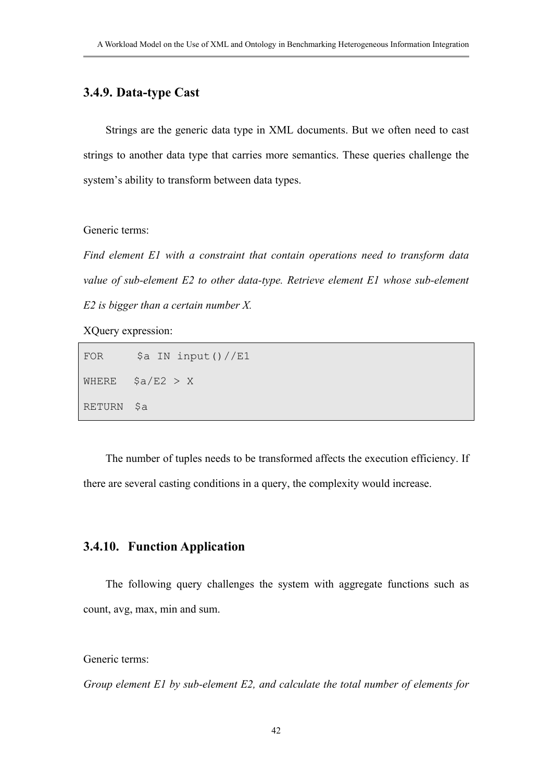# **3.4.9. Data-type Cast**

Strings are the generic data type in XML documents. But we often need to cast strings to another data type that carries more semantics. These queries challenge the system's ability to transform between data types.

Generic terms:

*Find element E1 with a constraint that contain operations need to transform data value of sub-element E2 to other data-type. Retrieve element E1 whose sub-element E2 is bigger than a certain number X.* 

XQuery expression:

FOR  $\frac{1}{2}$  \$a IN input()//E1 WHERE  $$a/E2 > X$ RETURN \$a

The number of tuples needs to be transformed affects the execution efficiency. If there are several casting conditions in a query, the complexity would increase.

## **3.4.10. Function Application**

The following query challenges the system with aggregate functions such as count, avg, max, min and sum.

Generic terms:

*Group element E1 by sub-element E2, and calculate the total number of elements for*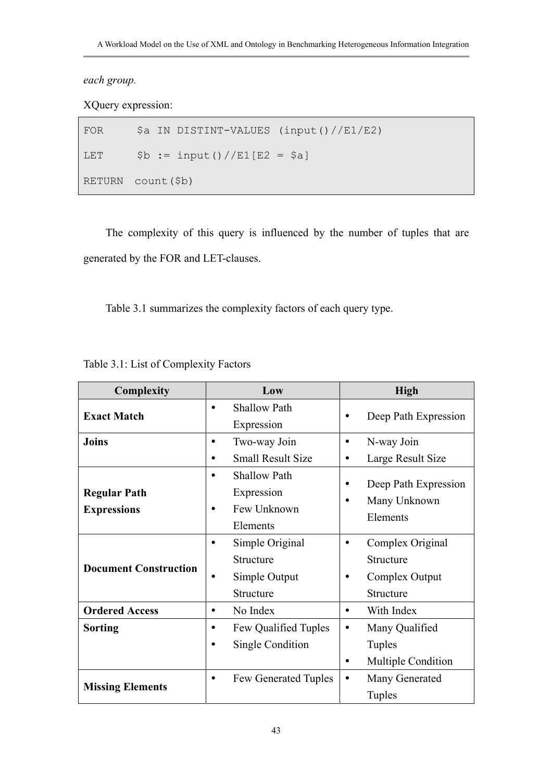*each group.* 

XQuery expression:

FOR \$a IN DISTINT-VALUES (input()//E1/E2) LET  $$b := input() //E1[E2 = $a]$ RETURN count(\$b)

The complexity of this query is influenced by the number of tuples that are generated by the FOR and LET-clauses.

Table 3.1 summarizes the complexity factors of each query type.

| Complexity                         | Low                                                                            | <b>High</b>                                                                    |  |
|------------------------------------|--------------------------------------------------------------------------------|--------------------------------------------------------------------------------|--|
| <b>Exact Match</b>                 | <b>Shallow Path</b><br>$\bullet$<br>Expression                                 | Deep Path Expression                                                           |  |
| <b>Joins</b>                       | Two-way Join<br>$\bullet$<br><b>Small Result Size</b>                          | N-way Join<br>$\bullet$<br>Large Result Size                                   |  |
| Regular Path<br><b>Expressions</b> | <b>Shallow Path</b><br>$\bullet$<br>Expression<br>Few Unknown<br>٠<br>Elements | Deep Path Expression<br>Many Unknown<br>Elements                               |  |
| <b>Document Construction</b>       | Simple Original<br>٠<br>Structure<br>Simple Output<br>$\bullet$<br>Structure   | Complex Original<br>$\bullet$<br>Structure<br>Complex Output<br>٠<br>Structure |  |
| <b>Ordered Access</b>              | No Index<br>$\bullet$                                                          | With Index<br>$\bullet$                                                        |  |
| Sorting                            | Few Qualified Tuples<br>$\bullet$<br>Single Condition<br>$\bullet$             | Many Qualified<br>$\bullet$<br><b>Tuples</b><br><b>Multiple Condition</b><br>٠ |  |
| <b>Missing Elements</b>            | <b>Few Generated Tuples</b><br>$\bullet$                                       | Many Generated<br>Tuples                                                       |  |

Table 3.1: List of Complexity Factors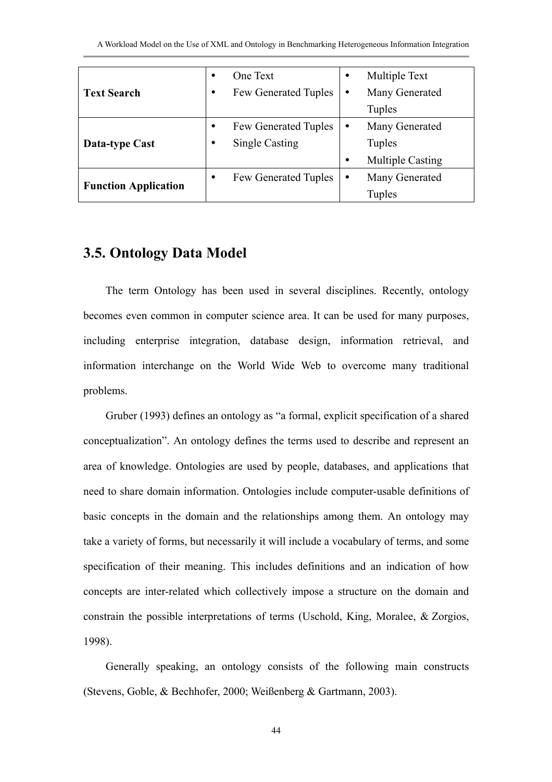| <b>Text Search</b>          | ٠ | One Text                    | ٠ | Multiple Text           |
|-----------------------------|---|-----------------------------|---|-------------------------|
|                             | ٠ | Few Generated Tuples        |   | Many Generated          |
|                             |   |                             |   | Tuples                  |
| <b>Data-type Cast</b>       |   | Few Generated Tuples        | ٠ | Many Generated          |
|                             | ٠ | <b>Single Casting</b>       |   | Tuples                  |
|                             |   |                             | ٠ | <b>Multiple Casting</b> |
| <b>Function Application</b> | ٠ | <b>Few Generated Tuples</b> | ٠ | Many Generated          |
|                             |   |                             |   | Tuples                  |

# **3.5. Ontology Data Model**

The term Ontology has been used in several disciplines. Recently, ontology becomes even common in computer science area. It can be used for many purposes, including enterprise integration, database design, information retrieval, and information interchange on the World Wide Web to overcome many traditional problems.

Gruber (1993) defines an ontology as "a formal, explicit specification of a shared conceptualization". An ontology defines the terms used to describe and represent an area of knowledge. Ontologies are used by people, databases, and applications that need to share domain information. Ontologies include computer-usable definitions of basic concepts in the domain and the relationships among them. An ontology may take a variety of forms, but necessarily it will include a vocabulary of terms, and some specification of their meaning. This includes definitions and an indication of how concepts are inter-related which collectively impose a structure on the domain and constrain the possible interpretations of terms (Uschold, King, Moralee, & Zorgios, 1998).

Generally speaking, an ontology consists of the following main constructs (Stevens, Goble, & Bechhofer, 2000; Weißenberg & Gartmann, 2003).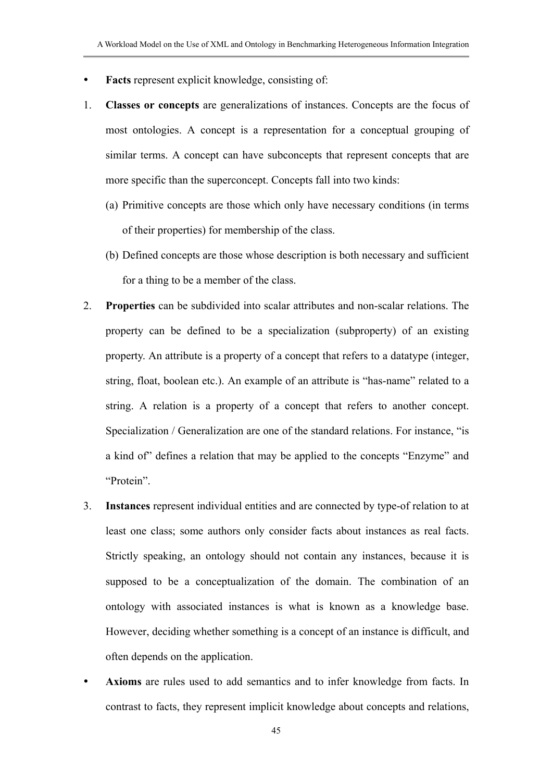- **Facts** represent explicit knowledge, consisting of:
- 1. **Classes or concepts** are generalizations of instances. Concepts are the focus of most ontologies. A concept is a representation for a conceptual grouping of similar terms. A concept can have subconcepts that represent concepts that are more specific than the superconcept. Concepts fall into two kinds:
	- (a) Primitive concepts are those which only have necessary conditions (in terms of their properties) for membership of the class.
	- (b) Defined concepts are those whose description is both necessary and sufficient for a thing to be a member of the class.
- 2. **Properties** can be subdivided into scalar attributes and non-scalar relations. The property can be defined to be a specialization (subproperty) of an existing property. An attribute is a property of a concept that refers to a datatype (integer, string, float, boolean etc.). An example of an attribute is "has-name" related to a string. A relation is a property of a concept that refers to another concept. Specialization / Generalization are one of the standard relations. For instance, "is a kind of" defines a relation that may be applied to the concepts "Enzyme" and "Protein".
- 3. **Instances** represent individual entities and are connected by type-of relation to at least one class; some authors only consider facts about instances as real facts. Strictly speaking, an ontology should not contain any instances, because it is supposed to be a conceptualization of the domain. The combination of an ontology with associated instances is what is known as a knowledge base. However, deciding whether something is a concept of an instance is difficult, and often depends on the application.
- Axioms are rules used to add semantics and to infer knowledge from facts. In contrast to facts, they represent implicit knowledge about concepts and relations,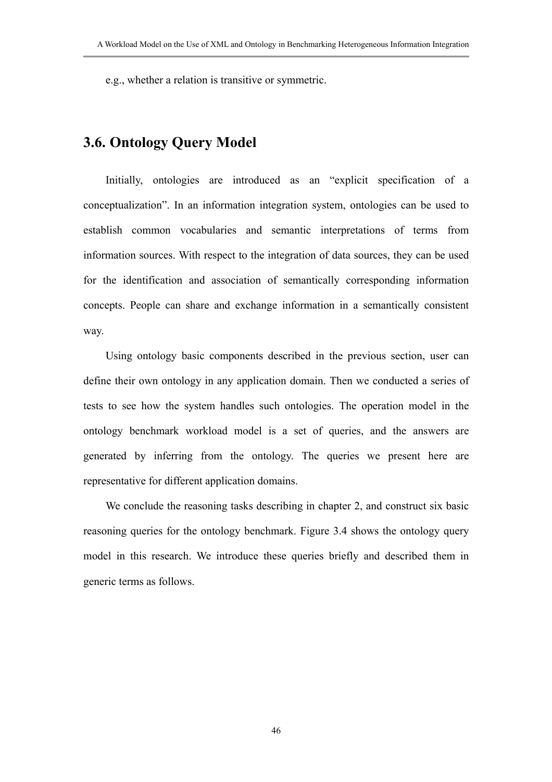e.g., whether a relation is transitive or symmetric.

# **3.6. Ontology Query Model**

Initially, ontologies are introduced as an "explicit specification of a conceptualization". In an information integration system, ontologies can be used to establish common vocabularies and semantic interpretations of terms from information sources. With respect to the integration of data sources, they can be used for the identification and association of semantically corresponding information concepts. People can share and exchange information in a semantically consistent way.

Using ontology basic components described in the previous section, user can define their own ontology in any application domain. Then we conducted a series of tests to see how the system handles such ontologies. The operation model in the ontology benchmark workload model is a set of queries, and the answers are generated by inferring from the ontology. The queries we present here are representative for different application domains.

We conclude the reasoning tasks describing in chapter 2, and construct six basic reasoning queries for the ontology benchmark. Figure 3.4 shows the ontology query model in this research. We introduce these queries briefly and described them in generic terms as follows.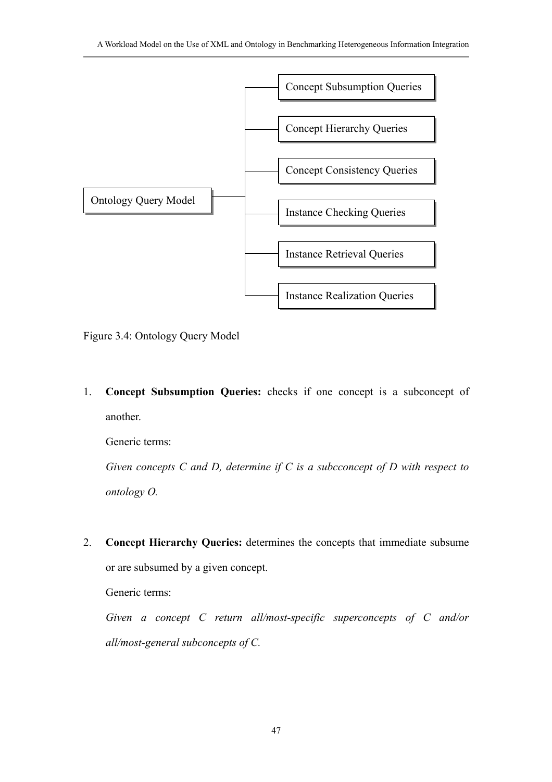

Figure 3.4: Ontology Query Model

1. **Concept Subsumption Queries:** checks if one concept is a subconcept of another.

Generic terms:

*Given concepts C and D, determine if C is a subcconcept of D with respect to ontology O.* 

2. **Concept Hierarchy Queries:** determines the concepts that immediate subsume or are subsumed by a given concept.

Generic terms:

*Given a concept C return all/most-specific superconcepts of C and/or all/most-general subconcepts of C.*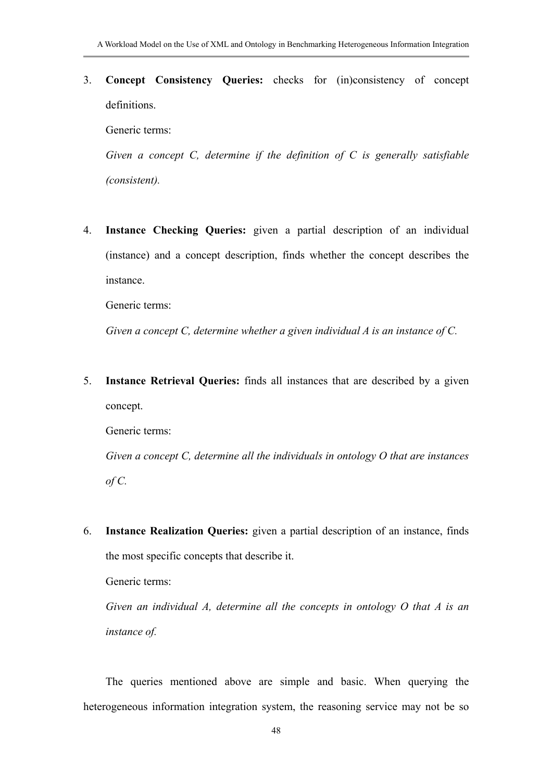3. **Concept Consistency Queries:** checks for (in)consistency of concept definitions.

Generic terms:

*Given a concept C, determine if the definition of C is generally satisfiable (consistent).*

4. **Instance Checking Queries:** given a partial description of an individual (instance) and a concept description, finds whether the concept describes the instance.

Generic terms:

*Given a concept C, determine whether a given individual A is an instance of C.* 

5. **Instance Retrieval Queries:** finds all instances that are described by a given concept.

Generic terms:

*Given a concept C, determine all the individuals in ontology O that are instances of C.* 

6. **Instance Realization Queries:** given a partial description of an instance, finds the most specific concepts that describe it.

Generic terms:

*Given an individual A, determine all the concepts in ontology O that A is an instance of.* 

The queries mentioned above are simple and basic. When querying the heterogeneous information integration system, the reasoning service may not be so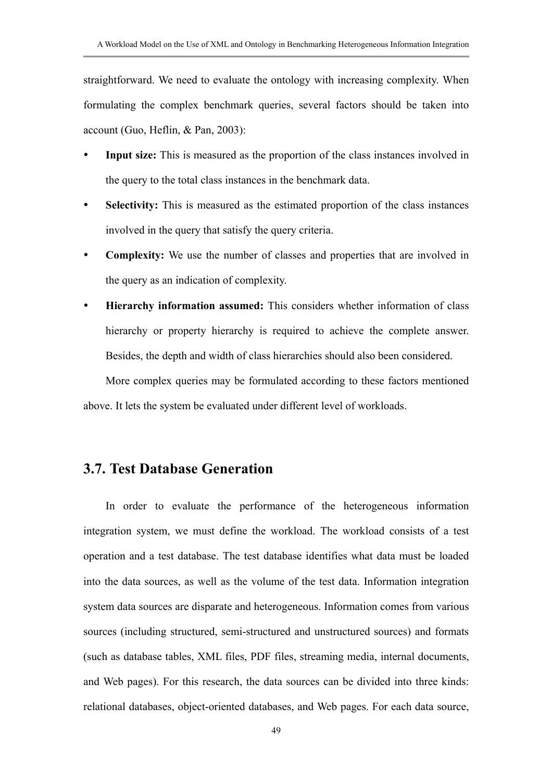straightforward. We need to evaluate the ontology with increasing complexity. When formulating the complex benchmark queries, several factors should be taken into account (Guo, Heflin, & Pan, 2003):

- **Input size:** This is measured as the proportion of the class instances involved in the query to the total class instances in the benchmark data.
- **Selectivity:** This is measured as the estimated proportion of the class instances involved in the query that satisfy the query criteria.
- **Complexity:** We use the number of classes and properties that are involved in the query as an indication of complexity.
- Hierarchy information assumed: This considers whether information of class hierarchy or property hierarchy is required to achieve the complete answer. Besides, the depth and width of class hierarchies should also been considered.

More complex queries may be formulated according to these factors mentioned above. It lets the system be evaluated under different level of workloads.

## **3.7. Test Database Generation**

In order to evaluate the performance of the heterogeneous information integration system, we must define the workload. The workload consists of a test operation and a test database. The test database identifies what data must be loaded into the data sources, as well as the volume of the test data. Information integration system data sources are disparate and heterogeneous. Information comes from various sources (including structured, semi-structured and unstructured sources) and formats (such as database tables, XML files, PDF files, streaming media, internal documents, and Web pages). For this research, the data sources can be divided into three kinds: relational databases, object-oriented databases, and Web pages. For each data source,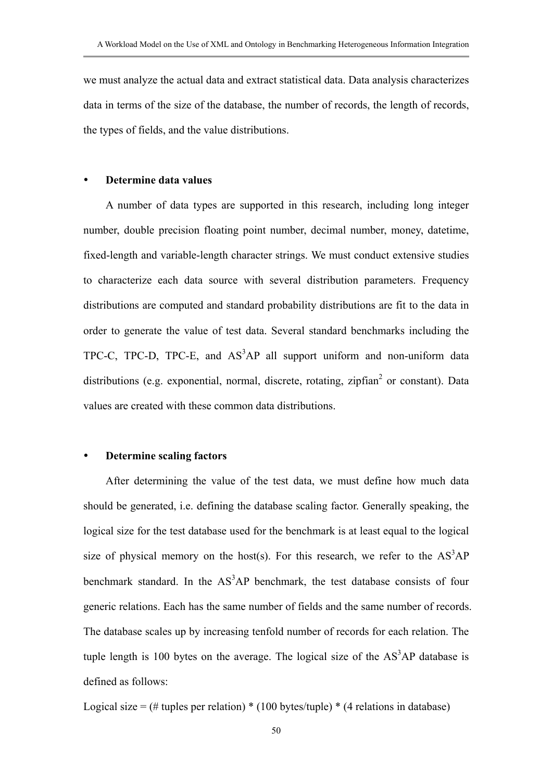we must analyze the actual data and extract statistical data. Data analysis characterizes data in terms of the size of the database, the number of records, the length of records, the types of fields, and the value distributions.

## **Determine data values**

A number of data types are supported in this research, including long integer number, double precision floating point number, decimal number, money, datetime, fixed-length and variable-length character strings. We must conduct extensive studies to characterize each data source with several distribution parameters. Frequency distributions are computed and standard probability distributions are fit to the data in order to generate the value of test data. Several standard benchmarks including the TPC-C, TPC-D, TPC-E, and  $AS<sup>3</sup>AP$  all support uniform and non-uniform data distributions (e.g. exponential, normal, discrete, rotating, zipfian<sup>2</sup> or constant). Data values are created with these common data distributions.

#### **Determine scaling factors**

After determining the value of the test data, we must define how much data should be generated, i.e. defining the database scaling factor. Generally speaking, the logical size for the test database used for the benchmark is at least equal to the logical size of physical memory on the host(s). For this research, we refer to the  $AS<sup>3</sup>AP$ benchmark standard. In the  $AS<sup>3</sup>AP$  benchmark, the test database consists of four generic relations. Each has the same number of fields and the same number of records. The database scales up by increasing tenfold number of records for each relation. The tuple length is 100 bytes on the average. The logical size of the  $AS<sup>3</sup>AP$  database is defined as follows:

Logical size =  $(\# \text{ tuples per relation}) * (100 \text{ bytes/tuple}) * (4 \text{ relations in database})$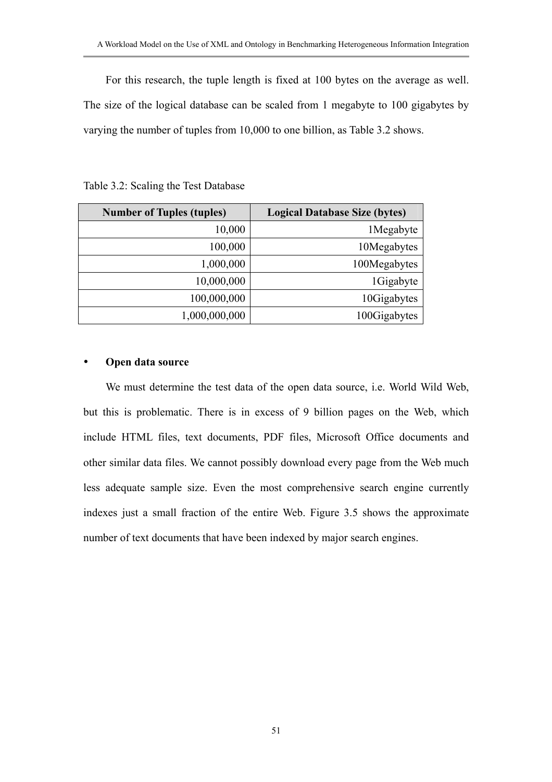For this research, the tuple length is fixed at 100 bytes on the average as well. The size of the logical database can be scaled from 1 megabyte to 100 gigabytes by varying the number of tuples from 10,000 to one billion, as Table 3.2 shows.

| <b>Number of Tuples (tuples)</b> | <b>Logical Database Size (bytes)</b> |
|----------------------------------|--------------------------------------|
| 10,000                           | 1Megabyte                            |
| 100,000                          | 10Megabytes                          |
| 1,000,000                        | 100Megabytes                         |
| 10,000,000                       | 1Gigabyte                            |
| 100,000,000                      | 10Gigabytes                          |
| 1,000,000,000                    | 100Gigabytes                         |

Table 3.2: Scaling the Test Database

### **Open data source**

We must determine the test data of the open data source, i.e. World Wild Web, but this is problematic. There is in excess of 9 billion pages on the Web, which include HTML files, text documents, PDF files, Microsoft Office documents and other similar data files. We cannot possibly download every page from the Web much less adequate sample size. Even the most comprehensive search engine currently indexes just a small fraction of the entire Web. Figure 3.5 shows the approximate number of text documents that have been indexed by major search engines.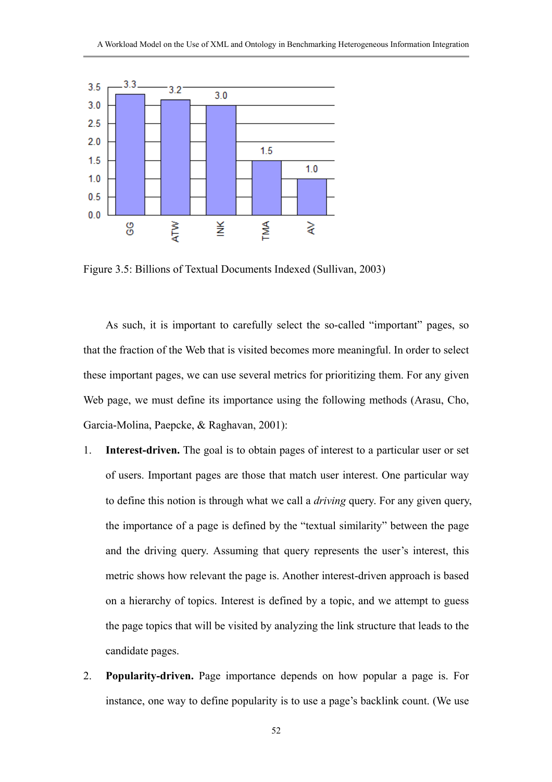

Figure 3.5: Billions of Textual Documents Indexed (Sullivan, 2003)

As such, it is important to carefully select the so-called "important" pages, so that the fraction of the Web that is visited becomes more meaningful. In order to select these important pages, we can use several metrics for prioritizing them. For any given Web page, we must define its importance using the following methods (Arasu, Cho, Garcia-Molina, Paepcke, & Raghavan, 2001):

- 1. **Interest-driven.** The goal is to obtain pages of interest to a particular user or set of users. Important pages are those that match user interest. One particular way to define this notion is through what we call a *driving* query. For any given query, the importance of a page is defined by the "textual similarity" between the page and the driving query. Assuming that query represents the user's interest, this metric shows how relevant the page is. Another interest-driven approach is based on a hierarchy of topics. Interest is defined by a topic, and we attempt to guess the page topics that will be visited by analyzing the link structure that leads to the candidate pages.
- 2. **Popularity-driven.** Page importance depends on how popular a page is. For instance, one way to define popularity is to use a page's backlink count. (We use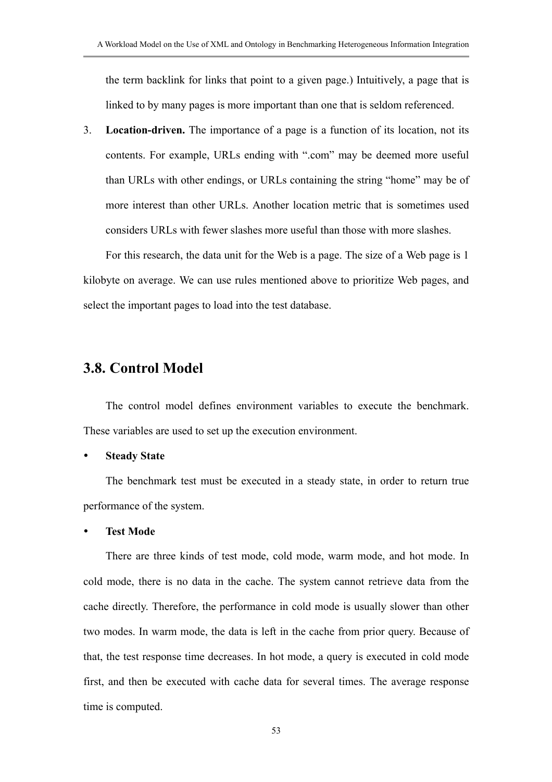the term backlink for links that point to a given page.) Intuitively, a page that is linked to by many pages is more important than one that is seldom referenced.

3. **Location-driven.** The importance of a page is a function of its location, not its contents. For example, URLs ending with ".com" may be deemed more useful than URLs with other endings, or URLs containing the string "home" may be of more interest than other URLs. Another location metric that is sometimes used considers URLs with fewer slashes more useful than those with more slashes.

For this research, the data unit for the Web is a page. The size of a Web page is 1 kilobyte on average. We can use rules mentioned above to prioritize Web pages, and select the important pages to load into the test database.

## **3.8. Control Model**

The control model defines environment variables to execute the benchmark. These variables are used to set up the execution environment.

#### **Steady State**

The benchmark test must be executed in a steady state, in order to return true performance of the system.

#### **Test Mode**

There are three kinds of test mode, cold mode, warm mode, and hot mode. In cold mode, there is no data in the cache. The system cannot retrieve data from the cache directly. Therefore, the performance in cold mode is usually slower than other two modes. In warm mode, the data is left in the cache from prior query. Because of that, the test response time decreases. In hot mode, a query is executed in cold mode first, and then be executed with cache data for several times. The average response time is computed.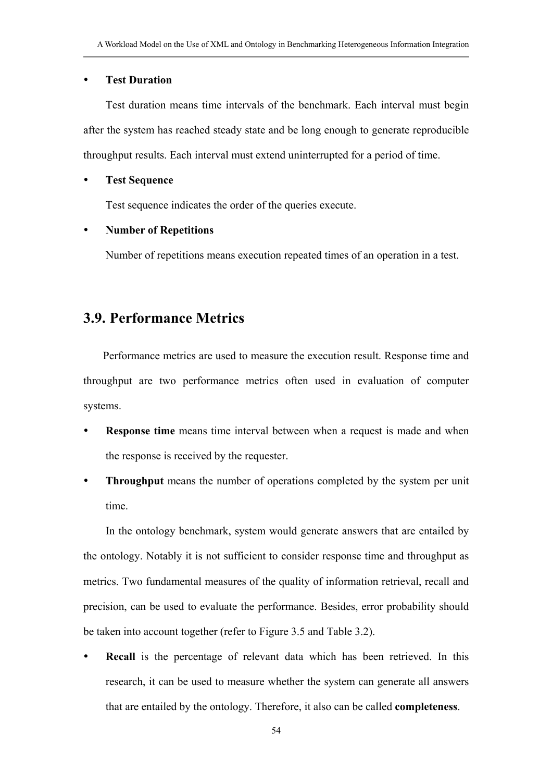## **Test Duration**

Test duration means time intervals of the benchmark. Each interval must begin after the system has reached steady state and be long enough to generate reproducible throughput results. Each interval must extend uninterrupted for a period of time.

### **Test Sequence**

Test sequence indicates the order of the queries execute.

### **Number of Repetitions**

Number of repetitions means execution repeated times of an operation in a test.

# **3.9. Performance Metrics**

Performance metrics are used to measure the execution result. Response time and throughput are two performance metrics often used in evaluation of computer systems.

- **Response time** means time interval between when a request is made and when the response is received by the requester.
- **Throughput** means the number of operations completed by the system per unit time.

In the ontology benchmark, system would generate answers that are entailed by the ontology. Notably it is not sufficient to consider response time and throughput as metrics. Two fundamental measures of the quality of information retrieval, recall and precision, can be used to evaluate the performance. Besides, error probability should be taken into account together (refer to Figure 3.5 and Table 3.2).

**Recall** is the percentage of relevant data which has been retrieved. In this research, it can be used to measure whether the system can generate all answers that are entailed by the ontology. Therefore, it also can be called **completeness**.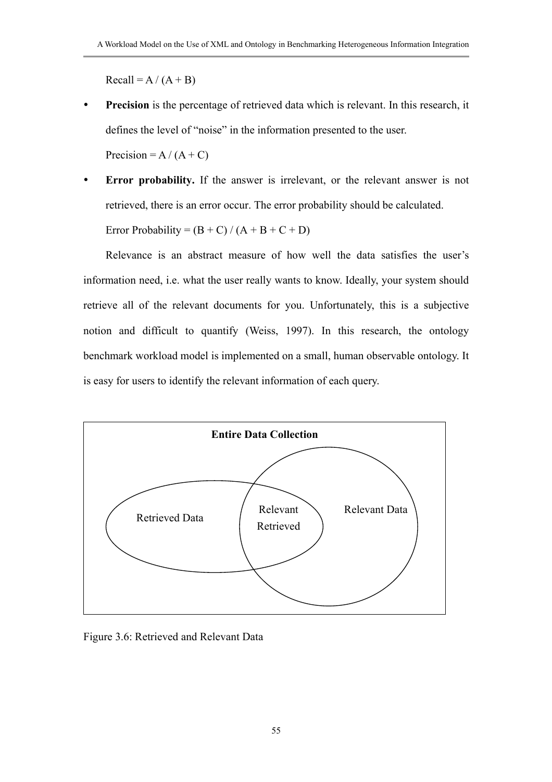$Recall = A / (A + B)$ 

**Precision** is the percentage of retrieved data which is relevant. In this research, it defines the level of "noise" in the information presented to the user.

Precision =  $A / (A + C)$ 

Error probability. If the answer is irrelevant, or the relevant answer is not retrieved, there is an error occur. The error probability should be calculated.

Error Probability =  $(B + C) / (A + B + C + D)$ 

Relevance is an abstract measure of how well the data satisfies the user's information need, i.e. what the user really wants to know. Ideally, your system should retrieve all of the relevant documents for you. Unfortunately, this is a subjective notion and difficult to quantify (Weiss, 1997). In this research, the ontology benchmark workload model is implemented on a small, human observable ontology. It is easy for users to identify the relevant information of each query.



Figure 3.6: Retrieved and Relevant Data